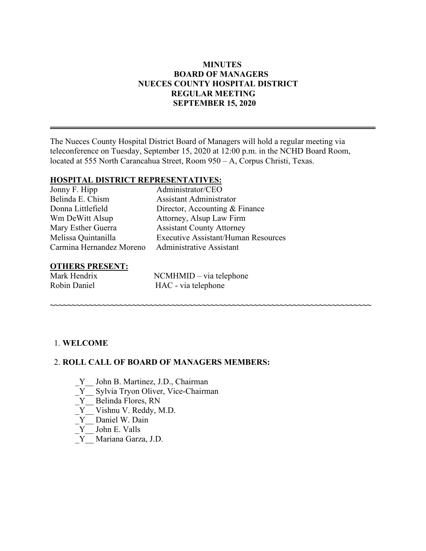## **MINUTES BOARD OF MANAGERS NUECES COUNTY HOSPITAL DISTRICT REGULAR MEETING SEPTEMBER 15, 2020**

The Nueces County Hospital District Board of Managers will hold a regular meeting via teleconference on Tuesday, September 15, 2020 at 12:00 p.m. in the NCHD Board Room, located at 555 North Carancahua Street, Room 950 – A, Corpus Christi, Texas.

#### **HOSPITAL DISTRICT REPRESENTATIVES:**

| Administrator/CEO                          |
|--------------------------------------------|
| Assistant Administrator                    |
| Director, Accounting & Finance             |
| Attorney, Alsup Law Firm                   |
| <b>Assistant County Attorney</b>           |
| <b>Executive Assistant/Human Resources</b> |
| <b>Administrative Assistant</b>            |
|                                            |

# **OTHERS PRESENT:**<br>Mark Hendrix

 $NCMHMID - via telephone$ Robin Daniel HAC - via telephone

**~~~~~~~~~~~~~~~~~~~~~~~~~~~~~~~~~~~~~~~~~~~~~~~~~~~~~~~~~~~~~~~~~~~~~~~~~~**

#### 1. **WELCOME**

#### 2. **ROLL CALL OF BOARD OF MANAGERS MEMBERS:**

- Y John B. Martinez, J.D., Chairman
- \_Y\_\_ Sylvia Tryon Oliver, Vice-Chairman
- $Y$  Belinda Flores, RN
- \_Y\_\_ Vishnu V. Reddy, M.D.
- Y Daniel W. Dain
- $Y$  John E. Valls
- \_Y\_\_ Mariana Garza, J.D.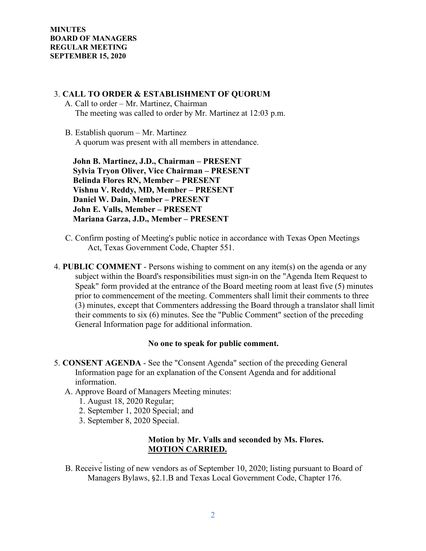#### 3. **CALL TO ORDER & ESTABLISHMENT OF QUORUM**

- A. Call to order Mr. Martinez, Chairman The meeting was called to order by Mr. Martinez at 12:03 p.m.
- B. Establish quorum Mr. Martinez A quorum was present with all members in attendance.

 **John B. Martinez, J.D., Chairman – PRESENT Sylvia Tryon Oliver, Vice Chairman – PRESENT Belinda Flores RN, Member – PRESENT Vishnu V. Reddy, MD, Member – PRESENT Daniel W. Dain, Member – PRESENT John E. Valls, Member – PRESENT Mariana Garza, J.D., Member – PRESENT** 

- C. Confirm posting of Meeting's public notice in accordance with Texas Open Meetings Act, Texas Government Code, Chapter 551.
- 4. **PUBLIC COMMENT** Persons wishing to comment on any item(s) on the agenda or any subject within the Board's responsibilities must sign-in on the "Agenda Item Request to Speak" form provided at the entrance of the Board meeting room at least five (5) minutes prior to commencement of the meeting. Commenters shall limit their comments to three (3) minutes, except that Commenters addressing the Board through a translator shall limit their comments to six (6) minutes. See the "Public Comment" section of the preceding General Information page for additional information.

#### **No one to speak for public comment.**

- 5. **CONSENT AGENDA** See the "Consent Agenda" section of the preceding General Information page for an explanation of the Consent Agenda and for additional information.
	- A. Approve Board of Managers Meeting minutes:
		- 1. August 18, 2020 Regular;
		- 2. September 1, 2020 Special; and
		- 3. September 8, 2020 Special.

#### **Motion by Mr. Valls and seconded by Ms. Flores. MOTION CARRIED.**

B. Receive listing of new vendors as of September 10, 2020; listing pursuant to Board of Managers Bylaws, §2.1.B and Texas Local Government Code, Chapter 176.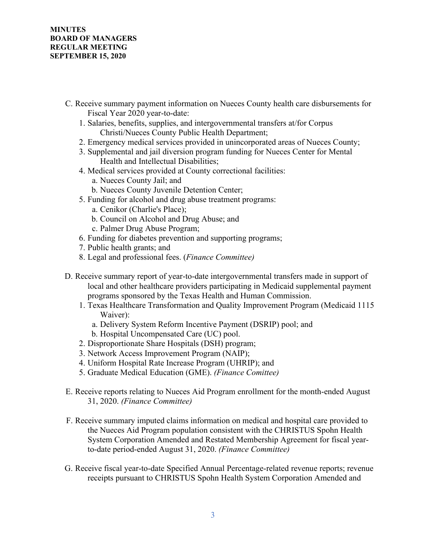- C. Receive summary payment information on Nueces County health care disbursements for Fiscal Year 2020 year-to-date:
	- 1. Salaries, benefits, supplies, and intergovernmental transfers at/for Corpus Christi/Nueces County Public Health Department;
	- 2. Emergency medical services provided in unincorporated areas of Nueces County;
	- 3. Supplemental and jail diversion program funding for Nueces Center for Mental Health and Intellectual Disabilities;
	- 4. Medical services provided at County correctional facilities:
		- a. Nueces County Jail; and
		- b. Nueces County Juvenile Detention Center;
	- 5. Funding for alcohol and drug abuse treatment programs:
		- a. Cenikor (Charlie's Place);
		- b. Council on Alcohol and Drug Abuse; and
		- c. Palmer Drug Abuse Program;
	- 6. Funding for diabetes prevention and supporting programs;
	- 7. Public health grants; and
	- 8. Legal and professional fees. (*Finance Committee)*
- D. Receive summary report of year-to-date intergovernmental transfers made in support of local and other healthcare providers participating in Medicaid supplemental payment programs sponsored by the Texas Health and Human Commission.
	- 1. Texas Healthcare Transformation and Quality Improvement Program (Medicaid 1115 Waiver):
		- a. Delivery System Reform Incentive Payment (DSRIP) pool; and
		- b. Hospital Uncompensated Care (UC) pool.
	- 2. Disproportionate Share Hospitals (DSH) program;
	- 3. Network Access Improvement Program (NAIP);
	- 4. Uniform Hospital Rate Increase Program (UHRIP); and
	- 5. Graduate Medical Education (GME). *(Finance Comittee)*
- E. Receive reports relating to Nueces Aid Program enrollment for the month-ended August 31, 2020. *(Finance Committee)*
- F. Receive summary imputed claims information on medical and hospital care provided to the Nueces Aid Program population consistent with the CHRISTUS Spohn Health System Corporation Amended and Restated Membership Agreement for fiscal yearto-date period-ended August 31, 2020. *(Finance Committee)*
- G. Receive fiscal year-to-date Specified Annual Percentage-related revenue reports; revenue receipts pursuant to CHRISTUS Spohn Health System Corporation Amended and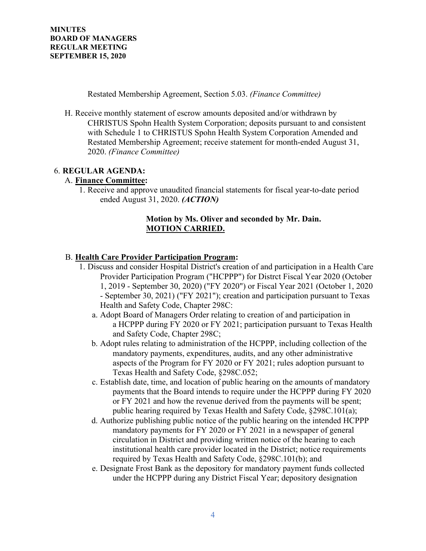Restated Membership Agreement, Section 5.03. *(Finance Committee)*

H. Receive monthly statement of escrow amounts deposited and/or withdrawn by CHRISTUS Spohn Health System Corporation; deposits pursuant to and consistent with Schedule 1 to CHRISTUS Spohn Health System Corporation Amended and Restated Membership Agreement; receive statement for month-ended August 31, 2020. *(Finance Committee)*

# 6. **REGULAR AGENDA:**

#### A. **Finance Committee:**

1. Receive and approve unaudited financial statements for fiscal year-to-date period ended August 31, 2020. *(ACTION)*

### **Motion by Ms. Oliver and seconded by Mr. Dain. MOTION CARRIED.**

## B. **Health Care Provider Participation Program:**

- 1. Discuss and consider Hospital District's creation of and participation in a Health Care Provider Participation Program ("HCPPP") for Distrct Fiscal Year 2020 (October 1, 2019 - September 30, 2020) ("FY 2020") or Fiscal Year 2021 (October 1, 2020 - September 30, 2021) ("FY 2021"); creation and participation pursuant to Texas Health and Safety Code, Chapter 298C:
	- a. Adopt Board of Managers Order relating to creation of and participation in a HCPPP during FY 2020 or FY 2021; participation pursuant to Texas Health and Safety Code, Chapter 298C;
	- b. Adopt rules relating to administration of the HCPPP, including collection of the mandatory payments, expenditures, audits, and any other administrative aspects of the Program for FY 2020 or FY 2021; rules adoption pursuant to Texas Health and Safety Code, §298C.052;
	- c. Establish date, time, and location of public hearing on the amounts of mandatory payments that the Board intends to require under the HCPPP during FY 2020 or FY 2021 and how the revenue derived from the payments will be spent; public hearing required by Texas Health and Safety Code, §298C.101(a);
	- d. Authorize publishing public notice of the public hearing on the intended HCPPP mandatory payments for FY 2020 or FY 2021 in a newspaper of general circulation in District and providing written notice of the hearing to each institutional health care provider located in the District; notice requirements required by Texas Health and Safety Code, §298C.101(b); and
	- e. Designate Frost Bank as the depository for mandatory payment funds collected under the HCPPP during any District Fiscal Year; depository designation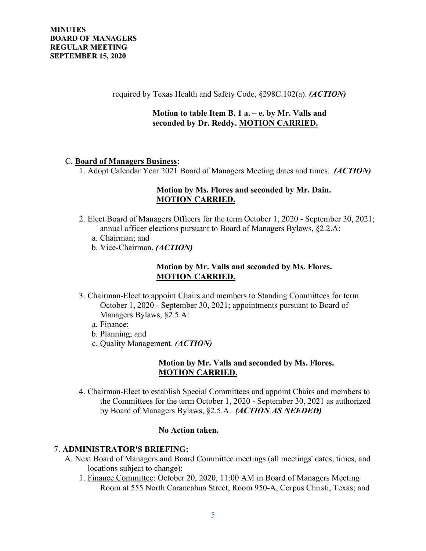required by Texas Health and Safety Code, §298C.102(a). *(ACTION)*

## **Motion to table Item B. 1 a. – e. by Mr. Valls and seconded by Dr. Reddy. MOTION CARRIED.**

#### C. **Board of Managers Business:**

1. Adopt Calendar Year 2021 Board of Managers Meeting dates and times. *(ACTION)*

# **Motion by Ms. Flores and seconded by Mr. Dain. MOTION CARRIED.**

- 2. Elect Board of Managers Officers for the term October 1, 2020 September 30, 2021; annual officer elections pursuant to Board of Managers Bylaws, §2.2.A:
	- a. Chairman; and
	- b. Vice-Chairman. *(ACTION)*

#### **Motion by Mr. Valls and seconded by Ms. Flores. MOTION CARRIED.**

- 3. Chairman-Elect to appoint Chairs and members to Standing Committees for term October 1, 2020 - September 30, 2021; appointments pursuant to Board of Managers Bylaws, §2.5.A:
	- a. Finance;
	- b. Planning; and
	- c. Quality Management. *(ACTION)*

#### **Motion by Mr. Valls and seconded by Ms. Flores. MOTION CARRIED.**

4. Chairman-Elect to establish Special Committees and appoint Chairs and members to the Committees for the term October 1, 2020 - September 30, 2021 as authorized by Board of Managers Bylaws, §2.5.A. *(ACTION AS NEEDED)*

## **No Action taken.**

## 7. **ADMINISTRATOR'S BRIEFING:**

- A. Next Board of Managers and Board Committee meetings (all meetings' dates, times, and locations subject to change):
	- 1. Finance Committee: October 20, 2020, 11:00 AM in Board of Managers Meeting Room at 555 North Carancahua Street, Room 950-A, Corpus Christi, Texas; and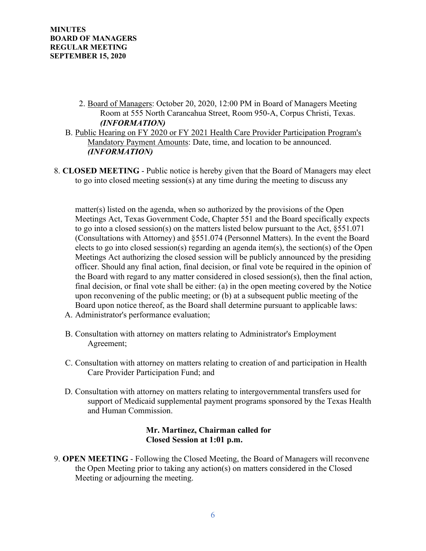- 2. Board of Managers: October 20, 2020, 12:00 PM in Board of Managers Meeting Room at 555 North Carancahua Street, Room 950-A, Corpus Christi, Texas. *(INFORMATION)*
- B. Public Hearing on FY 2020 or FY 2021 Health Care Provider Participation Program's Mandatory Payment Amounts: Date, time, and location to be announced. *(INFORMATION)*
- 8. **CLOSED MEETING**  Public notice is hereby given that the Board of Managers may elect to go into closed meeting session(s) at any time during the meeting to discuss any

matter(s) listed on the agenda, when so authorized by the provisions of the Open Meetings Act, Texas Government Code, Chapter 551 and the Board specifically expects to go into a closed session(s) on the matters listed below pursuant to the Act, §551.071 (Consultations with Attorney) and §551.074 (Personnel Matters). In the event the Board elects to go into closed session(s) regarding an agenda item(s), the section(s) of the Open Meetings Act authorizing the closed session will be publicly announced by the presiding officer. Should any final action, final decision, or final vote be required in the opinion of the Board with regard to any matter considered in closed session(s), then the final action, final decision, or final vote shall be either: (a) in the open meeting covered by the Notice upon reconvening of the public meeting; or (b) at a subsequent public meeting of the Board upon notice thereof, as the Board shall determine pursuant to applicable laws:

- A. Administrator's performance evaluation;
- B. Consultation with attorney on matters relating to Administrator's Employment Agreement;
- C. Consultation with attorney on matters relating to creation of and participation in Health Care Provider Participation Fund; and
- D. Consultation with attorney on matters relating to intergovernmental transfers used for support of Medicaid supplemental payment programs sponsored by the Texas Health and Human Commission.

#### **Mr. Martinez, Chairman called for Closed Session at 1:01 p.m.**

9. **OPEN MEETING** - Following the Closed Meeting, the Board of Managers will reconvene the Open Meeting prior to taking any action(s) on matters considered in the Closed Meeting or adjourning the meeting.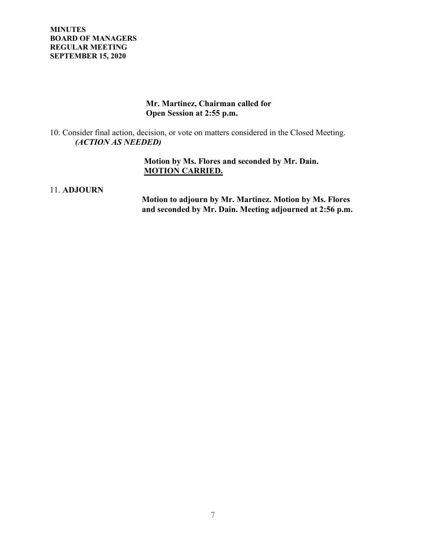**MINUTES BOARD OF MANAGERS REGULAR MEETING SEPTEMBER 15, 2020**

## **Mr. Martinez, Chairman called for Open Session at 2:55 p.m.**

10. Consider final action, decision, or vote on matters considered in the Closed Meeting. *(ACTION AS NEEDED)*

> **Motion by Ms. Flores and seconded by Mr. Dain. MOTION CARRIED.**

#### 11. **ADJOURN**

 **Motion to adjourn by Mr. Martinez. Motion by Ms. Flores and seconded by Mr. Dain. Meeting adjourned at 2:56 p.m.**